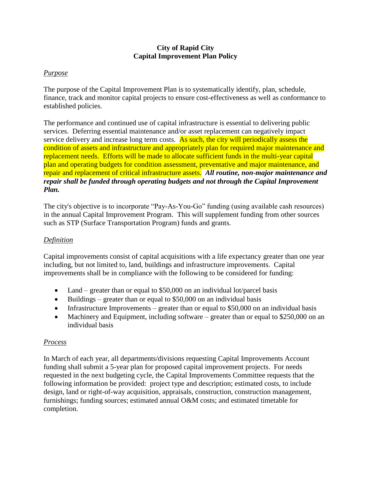# **City of Rapid City Capital Improvement Plan Policy**

### *Purpose*

The purpose of the Capital Improvement Plan is to systematically identify, plan, schedule, finance, track and monitor capital projects to ensure cost-effectiveness as well as conformance to established policies.

The performance and continued use of capital infrastructure is essential to delivering public services. Deferring essential maintenance and/or asset replacement can negatively impact service delivery and increase long term costs. As such, the city will periodically assess the condition of assets and infrastructure and appropriately plan for required major maintenance and replacement needs. Efforts will be made to allocate sufficient funds in the multi-year capital plan and operating budgets for condition assessment, preventative and major maintenance, and repair and replacement of critical infrastructure assets. *All routine, non-major maintenance and repair shall be funded through operating budgets and not through the Capital Improvement Plan.*

The city's objective is to incorporate "Pay-As-You-Go" funding (using available cash resources) in the annual Capital Improvement Program. This will supplement funding from other sources such as STP (Surface Transportation Program) funds and grants.

#### *Definition*

Capital improvements consist of capital acquisitions with a life expectancy greater than one year including, but not limited to, land, buildings and infrastructure improvements. Capital improvements shall be in compliance with the following to be considered for funding:

- Land greater than or equal to \$50,000 on an individual lot/parcel basis
- $\bullet$  Buildings greater than or equal to \$50,000 on an individual basis
- Infrastructure Improvements greater than or equal to  $$50,000$  on an individual basis
- Machinery and Equipment, including software greater than or equal to \$250,000 on an individual basis

# *Process*

In March of each year, all departments/divisions requesting Capital Improvements Account funding shall submit a 5-year plan for proposed capital improvement projects. For needs requested in the next budgeting cycle, the Capital Improvements Committee requests that the following information be provided: project type and description; estimated costs, to include design, land or right-of-way acquisition, appraisals, construction, construction management, furnishings; funding sources; estimated annual O&M costs; and estimated timetable for completion.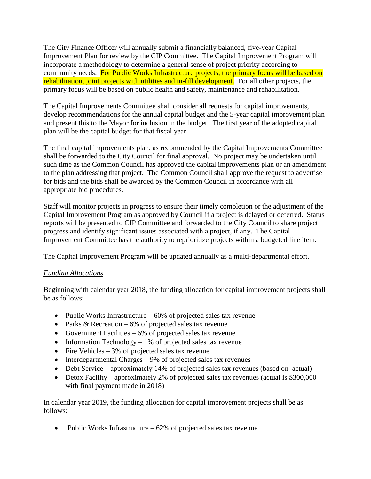The City Finance Officer will annually submit a financially balanced, five-year Capital Improvement Plan for review by the CIP Committee. The Capital Improvement Program will incorporate a methodology to determine a general sense of project priority according to community needs. For Public Works Infrastructure projects, the primary focus will be based on rehabilitation, joint projects with utilities and in-fill development. For all other projects, the primary focus will be based on public health and safety, maintenance and rehabilitation.

The Capital Improvements Committee shall consider all requests for capital improvements, develop recommendations for the annual capital budget and the 5-year capital improvement plan and present this to the Mayor for inclusion in the budget. The first year of the adopted capital plan will be the capital budget for that fiscal year.

The final capital improvements plan, as recommended by the Capital Improvements Committee shall be forwarded to the City Council for final approval. No project may be undertaken until such time as the Common Council has approved the capital improvements plan or an amendment to the plan addressing that project. The Common Council shall approve the request to advertise for bids and the bids shall be awarded by the Common Council in accordance with all appropriate bid procedures.

Staff will monitor projects in progress to ensure their timely completion or the adjustment of the Capital Improvement Program as approved by Council if a project is delayed or deferred. Status reports will be presented to CIP Committee and forwarded to the City Council to share project progress and identify significant issues associated with a project, if any. The Capital Improvement Committee has the authority to reprioritize projects within a budgeted line item.

The Capital Improvement Program will be updated annually as a multi-departmental effort.

# *Funding Allocations*

Beginning with calendar year 2018, the funding allocation for capital improvement projects shall be as follows:

- Public Works Infrastructure  $-60\%$  of projected sales tax revenue
- Parks & Recreation  $-6\%$  of projected sales tax revenue
- Government Facilities  $-6\%$  of projected sales tax revenue
- Information Technology  $-1\%$  of projected sales tax revenue
- Fire Vehicles  $-3\%$  of projected sales tax revenue
- $\bullet$  Interdepartmental Charges 9% of projected sales tax revenues
- Debt Service approximately 14% of projected sales tax revenues (based on actual)
- Detox Facility approximately 2% of projected sales tax revenues (actual is \$300,000 with final payment made in 2018)

In calendar year 2019, the funding allocation for capital improvement projects shall be as follows:

• Public Works Infrastructure  $-62\%$  of projected sales tax revenue